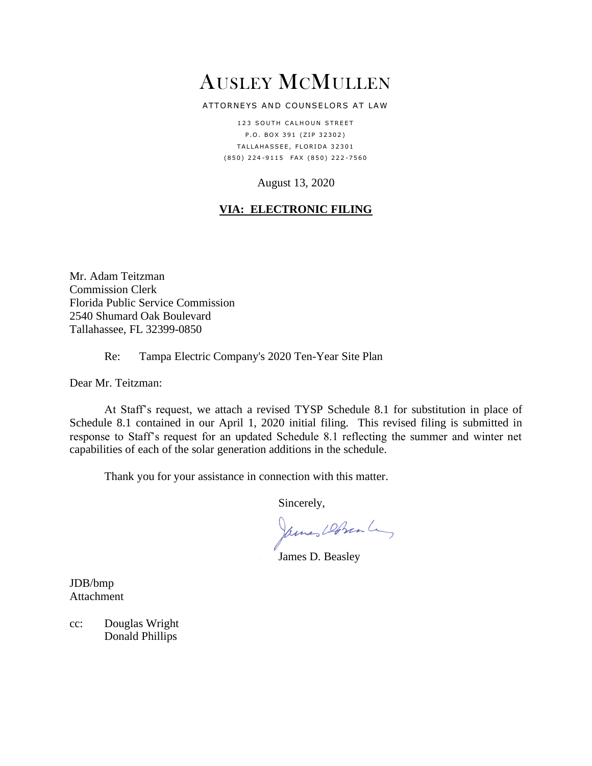# AUSLEY MCMULLEN

#### ATTORNEYS AND COUNSELORS AT LAW

123 SOUTH CALHOUN STREET P.O. BOX 391 (ZIP 32302) TALLAHASSEE, FLORIDA 32301 ( 8 5 0 ) 2 2 4 - 9 1 1 5 F A X ( 8 5 0 ) 2 2 2 - 7 5 6 0

### August 13, 2020

## **VIA: ELECTRONIC FILING**

Mr. Adam Teitzman Commission Clerk Florida Public Service Commission 2540 Shumard Oak Boulevard Tallahassee, FL 32399-0850

### Re: Tampa Electric Company's 2020 Ten-Year Site Plan

Dear Mr. Teitzman:

At Staff's request, we attach a revised TYSP Schedule 8.1 for substitution in place of Schedule 8.1 contained in our April 1, 2020 initial filing. This revised filing is submitted in response to Staff's request for an updated Schedule 8.1 reflecting the summer and winter net capabilities of each of the solar generation additions in the schedule.

Thank you for your assistance in connection with this matter.

Sincerely,

James Dobrente,

James D. Beasley

JDB/bmp Attachment

cc: Douglas Wright Donald Phillips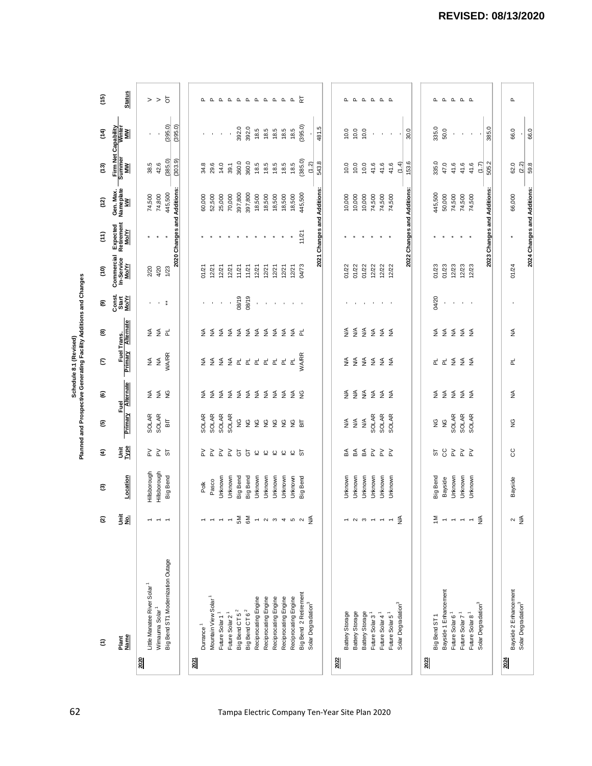| (395.0)<br>(395.0)<br>(395.0)<br>Firm Net Capability<br>Summer Winter<br>MW<br>392.0<br>392.0<br>rú.<br>335.0<br>385.0<br>18.5<br>18.5<br>18.5<br>18.5<br>50.0<br>18.5<br>10.0<br>10.0<br>30.0<br>66.0<br>10.0<br>$\widehat{H}$<br>481.<br>$\blacksquare$<br>$\mathcal{A}$<br>$\mathcal{A}$<br>$\blacksquare$<br>$\epsilon$<br>$\blacksquare$<br>$\blacksquare$<br>$\cdot$<br>$\blacksquare$<br>$\blacksquare$<br>$\mathbf{r}$<br>(385.0)<br>(385.0)<br>(303.9)<br>360.0<br>360.0<br>543.8<br>153.6<br>335.0<br>42.6<br>505.2<br>29.6<br>14.0<br>18.5<br>18.5<br>(1.2)<br>47.0<br>41.6<br>(2.2)<br>38.5<br>18.5<br>10.0<br>10.0<br>41.6<br>(1.4)<br>41.6<br>41.6<br>(1.7)<br>62.0<br>34.8<br>39.1<br>18.5<br>18.5<br>10.0<br>41.6<br>41.6<br>$\tilde{c}$<br>Gen. Max.<br>Nameplate<br>KW<br>2020 Changes and Additions:<br>2021 Changes and Additions:<br>2022 Changes and Additions:<br>2023 Changes and Additions:<br>445,500<br>397,800<br>445,500<br>397,800<br>445,500<br>74,800<br>74,500<br>52,500<br>25,000<br>70,000<br>18,500<br>18,500<br>18,500<br>18,500<br>10,000<br>10,000<br>74,500<br>74,500<br>74,500<br>50,000<br>74,500<br>74,500<br>74,500<br>66,000<br>60,000<br>18,500<br>10,000<br>(12)<br>Expected<br>Retirement<br><u>Mo/Yr</u><br>11/21<br>$\widehat{\tau}$<br>$\star$<br>$\star$<br>Commercial<br>In-Service<br><u>Mo/Yr</u><br>12/23<br>01/22<br>01/23<br>12/23<br>01/24<br>4/20<br>04/73<br>01/22<br>12/22<br>12/22<br>01/23<br>12/23<br>1/23<br>12/21<br>12/21<br>01/22<br>12/22<br>2/20<br>12/21<br>11/21<br>12/21<br>12/21<br>12/21<br>12/21<br>11/21<br>12/21<br>01/21<br>$\frac{6}{5}$<br>Const.<br>Start<br><u>Mo/Y</u><br>08/19<br>08/19<br>04/20<br>$\mathbf{r}=\mathbf{r}$<br>ම<br>$\cdot$<br>$\sim$<br>$\alpha \rightarrow 0$<br>化二环菌<br>$\cdot$<br>$\sim$<br><b>Contractor</b><br>$\epsilon$<br>$\mathcal{A}$<br>$\sim 10-10$<br>$\sim 10-10$<br>$\sim$ 1<br>Fuel Trans.<br>mary Alternate<br>$\frac{4}{2}$ $\frac{4}{2}$ $\frac{4}{2}$ $\frac{4}{2}$ $\frac{4}{2}$ $\frac{4}{2}$ $\frac{4}{2}$<br>≨ ≨ ≓<br>S S S S S S S S S S S L<br>$\S$ $\S$ $\S$ $\S$ $\S$ $\S$<br>₹<br>₹<br>ම<br>Primary<br><b>WA/RR</b><br><b>WA/RR</b><br>$\lessgtr$<br>$\widetilde{\Xi}$ $\Xi$ $\Xi$ $\Xi$<br>d d < < < <<br>≨<br>$\S$ $\S$ $\S$<br>$\overrightarrow{\mathtt{a}}$<br>$\overrightarrow{\mathtt{a}}$<br>$\overrightarrow{a}$<br>군<br>ε<br>군<br>Fuel<br>y Alternate<br>$rac{4}{2}$ $rac{4}{2}$ $rac{4}{2}$<br>$\S$ $\S$ $\S$<br>$\S$ $\S$ $\S$<br>S S S S S S S S S S S S<br>$\S$ $\S$ $\S$ $\S$ $\S$ $\S$<br>₹<br>ම<br>Primary<br>SOLAR<br>SOLAR<br>SOLAR<br><b>SOLAR</b><br>SOLAR<br><b>SOLAR</b><br>SOLAR<br>SOLAR<br><b>SOLAR</b><br>SOLAR<br>SOLAR<br>SOLAR<br>$\lessgtr$<br>S<br>≸<br>$\lessgtr$<br>$\tilde{\mathbf{z}}$<br>듦<br>$\tilde{\mathbf{S}}$<br>$\rm \frac{\rm \bf C}{\rm \bf Z}$<br>9<br>9<br>요 kg<br>g<br>9<br>9<br>ම<br><b>SP</b> e<br>4 4 4 5 5 2<br>S<br>$\frac{1}{6}$ $\geq$ $\frac{1}{6}$<br>ことととも<br>5000005<br>58888<br>€<br>Hillsborough<br>Hillsborough<br>Big Bend<br>Location<br>Unknown<br>Unknown<br>Big Berd<br><b>Big Bend</b><br>Unknown<br>Unknown<br>Unknown<br>Unknown<br>Unknown<br>Unknown<br><b>Big Bend</b><br>Unknown<br>Unknown<br>Unknown<br>Unknown<br>Unknown<br>Unknown<br><b>Big Bend</b><br>Unknown<br>Unknown<br>Bayside<br>Bayside<br>Pasco<br>Polk<br>ම<br>šg<br>$\lessgtr$<br>$\sum_{i=0}^{\infty} \sum_{j=0}^{\infty} \frac{1}{j} \left( \sum_{i=0}^{\infty} \frac{1}{j} \right) \left( \sum_{i=0}^{\infty} \frac{1}{j} \right) \left( \sum_{i=0}^{\infty} \frac{1}{j} \right) \left( \sum_{i=0}^{\infty} \frac{1}{j} \right) \left( \sum_{i=0}^{\infty} \frac{1}{j} \right) \left( \sum_{i=0}^{\infty} \frac{1}{j} \right) \left( \sum_{i=0}^{\infty} \frac{1}{j} \right) \left( \sum_{i=0}^{\infty$<br>$\frac{4}{2}$<br>$\frac{1}{2}$ - - - -<br>$\frac{4}{2}$<br>$\frac{4}{2}$<br>$\widehat{\boldsymbol{\omega}}$<br>$    -$<br>$\rightarrow$ $\rightarrow$ $\rightarrow$ $\rightarrow$<br>$\boldsymbol{\sim}$<br>Big Bend ST1 Modernization Outage<br>Little Manatee River Solar <sup>1</sup><br>Bayside 2 Enhancement<br>Bayside 1 Enhancement<br>Big Bend 2 Retirement<br>Reciprocating Engine<br>Reciprocating Engine<br>Reciprocating Engine<br>Reciprocating Engine<br>Reciprocating Engine<br>Mountain View Solar<br>Solar Degradation <sup>3</sup><br>Solar Degradation <sup>3</sup><br>Solar Degradation <sup>3</sup><br>Solar Degradation <sup>3</sup><br>Wimauma Solar <sup>1</sup><br>Big Bend CT 6 <sup>2</sup><br>Big Bend CT 5 <sup>2</sup><br>Battery Storage<br>Future Solar 1 <sup>1</sup><br>Battery Storage<br>Battery Storage<br>Future Solar 2 <sup>1</sup><br>Future Solar 4 <sup>1</sup><br>Future Solar 5 <sup>1</sup><br>Future Solar 8 <sup>1</sup><br>Future Solar 6 <sup>1</sup><br>Future Solar 7 <sup>1</sup><br>Future Solar 3<br>Big Bend ST1<br>Durrance <sup>1</sup><br>Plant<br>Name<br>$\widehat{\boldsymbol{\epsilon}}$<br>2023<br>2024<br>2020<br>2022<br>$\frac{20}{20}$ |  |  | Planned and Prospective Generating Facility Additions and Changes |  |  |  |  |  |
|---------------------------------------------------------------------------------------------------------------------------------------------------------------------------------------------------------------------------------------------------------------------------------------------------------------------------------------------------------------------------------------------------------------------------------------------------------------------------------------------------------------------------------------------------------------------------------------------------------------------------------------------------------------------------------------------------------------------------------------------------------------------------------------------------------------------------------------------------------------------------------------------------------------------------------------------------------------------------------------------------------------------------------------------------------------------------------------------------------------------------------------------------------------------------------------------------------------------------------------------------------------------------------------------------------------------------------------------------------------------------------------------------------------------------------------------------------------------------------------------------------------------------------------------------------------------------------------------------------------------------------------------------------------------------------------------------------------------------------------------------------------------------------------------------------------------------------------------------------------------------------------------------------------------------------------------------------------------------------------------------------------------------------------------------------------------------------------------------------------------------------------------------------------------------------------------------------------------------------------------------------------------------------------------------------------------------------------------------------------------------------------------------------------------------------------------------------------------------------------------------------------------------------------------------------------------------------------------------------------------------------------------------------------------------------------------------------------------------------------------------------------------------------------------------------------------------------------------------------------------------------------------------------------------------------------------------------------------------------------------------------------------------------------------------------------------------------------------------------------------------------------------------------------------------------------------------------------------------------------------------------------------------------------------------------------------------------------------------------------------------------------------------------------------------------------------------------------------------------------------------------------------------------------------------------------------------------------------------------------------------------------------------------------------------------------------------------------------------------------------------------------------------------------------------------------------------------------------------------------------------------------------------------------------------------------------------------------------------------------------------------------------------------------------------------------------------------------------------------------------------------------------------------------------------------------------------------------------------------------------------------------------------------------------------------------------------------------------------------------------------------------------------------------------------------------------------------------------------------------------------------------------------------------------------------------------------------------------------------------------------------------------------------------------------------------------------------------------------------------------------------------------------------------------------------------------------------------------------------------------------------------------------------------------------------------------------------------------------------------------------------|--|--|-------------------------------------------------------------------|--|--|--|--|--|
|                                                                                                                                                                                                                                                                                                                                                                                                                                                                                                                                                                                                                                                                                                                                                                                                                                                                                                                                                                                                                                                                                                                                                                                                                                                                                                                                                                                                                                                                                                                                                                                                                                                                                                                                                                                                                                                                                                                                                                                                                                                                                                                                                                                                                                                                                                                                                                                                                                                                                                                                                                                                                                                                                                                                                                                                                                                                                                                                                                                                                                                                                                                                                                                                                                                                                                                                                                                                                                                                                                                                                                                                                                                                                                                                                                                                                                                                                                                                                                                                                                                                                                                                                                                                                                                                                                                                                                                                                                                                                                                                                                                                                                                                                                                                                                                                                                                                                                                                                                                                         |  |  |                                                                   |  |  |  |  |  |
|                                                                                                                                                                                                                                                                                                                                                                                                                                                                                                                                                                                                                                                                                                                                                                                                                                                                                                                                                                                                                                                                                                                                                                                                                                                                                                                                                                                                                                                                                                                                                                                                                                                                                                                                                                                                                                                                                                                                                                                                                                                                                                                                                                                                                                                                                                                                                                                                                                                                                                                                                                                                                                                                                                                                                                                                                                                                                                                                                                                                                                                                                                                                                                                                                                                                                                                                                                                                                                                                                                                                                                                                                                                                                                                                                                                                                                                                                                                                                                                                                                                                                                                                                                                                                                                                                                                                                                                                                                                                                                                                                                                                                                                                                                                                                                                                                                                                                                                                                                                                         |  |  |                                                                   |  |  |  |  |  |
|                                                                                                                                                                                                                                                                                                                                                                                                                                                                                                                                                                                                                                                                                                                                                                                                                                                                                                                                                                                                                                                                                                                                                                                                                                                                                                                                                                                                                                                                                                                                                                                                                                                                                                                                                                                                                                                                                                                                                                                                                                                                                                                                                                                                                                                                                                                                                                                                                                                                                                                                                                                                                                                                                                                                                                                                                                                                                                                                                                                                                                                                                                                                                                                                                                                                                                                                                                                                                                                                                                                                                                                                                                                                                                                                                                                                                                                                                                                                                                                                                                                                                                                                                                                                                                                                                                                                                                                                                                                                                                                                                                                                                                                                                                                                                                                                                                                                                                                                                                                                         |  |  |                                                                   |  |  |  |  |  |
|                                                                                                                                                                                                                                                                                                                                                                                                                                                                                                                                                                                                                                                                                                                                                                                                                                                                                                                                                                                                                                                                                                                                                                                                                                                                                                                                                                                                                                                                                                                                                                                                                                                                                                                                                                                                                                                                                                                                                                                                                                                                                                                                                                                                                                                                                                                                                                                                                                                                                                                                                                                                                                                                                                                                                                                                                                                                                                                                                                                                                                                                                                                                                                                                                                                                                                                                                                                                                                                                                                                                                                                                                                                                                                                                                                                                                                                                                                                                                                                                                                                                                                                                                                                                                                                                                                                                                                                                                                                                                                                                                                                                                                                                                                                                                                                                                                                                                                                                                                                                         |  |  |                                                                   |  |  |  |  |  |
|                                                                                                                                                                                                                                                                                                                                                                                                                                                                                                                                                                                                                                                                                                                                                                                                                                                                                                                                                                                                                                                                                                                                                                                                                                                                                                                                                                                                                                                                                                                                                                                                                                                                                                                                                                                                                                                                                                                                                                                                                                                                                                                                                                                                                                                                                                                                                                                                                                                                                                                                                                                                                                                                                                                                                                                                                                                                                                                                                                                                                                                                                                                                                                                                                                                                                                                                                                                                                                                                                                                                                                                                                                                                                                                                                                                                                                                                                                                                                                                                                                                                                                                                                                                                                                                                                                                                                                                                                                                                                                                                                                                                                                                                                                                                                                                                                                                                                                                                                                                                         |  |  |                                                                   |  |  |  |  |  |
|                                                                                                                                                                                                                                                                                                                                                                                                                                                                                                                                                                                                                                                                                                                                                                                                                                                                                                                                                                                                                                                                                                                                                                                                                                                                                                                                                                                                                                                                                                                                                                                                                                                                                                                                                                                                                                                                                                                                                                                                                                                                                                                                                                                                                                                                                                                                                                                                                                                                                                                                                                                                                                                                                                                                                                                                                                                                                                                                                                                                                                                                                                                                                                                                                                                                                                                                                                                                                                                                                                                                                                                                                                                                                                                                                                                                                                                                                                                                                                                                                                                                                                                                                                                                                                                                                                                                                                                                                                                                                                                                                                                                                                                                                                                                                                                                                                                                                                                                                                                                         |  |  |                                                                   |  |  |  |  |  |
|                                                                                                                                                                                                                                                                                                                                                                                                                                                                                                                                                                                                                                                                                                                                                                                                                                                                                                                                                                                                                                                                                                                                                                                                                                                                                                                                                                                                                                                                                                                                                                                                                                                                                                                                                                                                                                                                                                                                                                                                                                                                                                                                                                                                                                                                                                                                                                                                                                                                                                                                                                                                                                                                                                                                                                                                                                                                                                                                                                                                                                                                                                                                                                                                                                                                                                                                                                                                                                                                                                                                                                                                                                                                                                                                                                                                                                                                                                                                                                                                                                                                                                                                                                                                                                                                                                                                                                                                                                                                                                                                                                                                                                                                                                                                                                                                                                                                                                                                                                                                         |  |  |                                                                   |  |  |  |  |  |
|                                                                                                                                                                                                                                                                                                                                                                                                                                                                                                                                                                                                                                                                                                                                                                                                                                                                                                                                                                                                                                                                                                                                                                                                                                                                                                                                                                                                                                                                                                                                                                                                                                                                                                                                                                                                                                                                                                                                                                                                                                                                                                                                                                                                                                                                                                                                                                                                                                                                                                                                                                                                                                                                                                                                                                                                                                                                                                                                                                                                                                                                                                                                                                                                                                                                                                                                                                                                                                                                                                                                                                                                                                                                                                                                                                                                                                                                                                                                                                                                                                                                                                                                                                                                                                                                                                                                                                                                                                                                                                                                                                                                                                                                                                                                                                                                                                                                                                                                                                                                         |  |  |                                                                   |  |  |  |  |  |
|                                                                                                                                                                                                                                                                                                                                                                                                                                                                                                                                                                                                                                                                                                                                                                                                                                                                                                                                                                                                                                                                                                                                                                                                                                                                                                                                                                                                                                                                                                                                                                                                                                                                                                                                                                                                                                                                                                                                                                                                                                                                                                                                                                                                                                                                                                                                                                                                                                                                                                                                                                                                                                                                                                                                                                                                                                                                                                                                                                                                                                                                                                                                                                                                                                                                                                                                                                                                                                                                                                                                                                                                                                                                                                                                                                                                                                                                                                                                                                                                                                                                                                                                                                                                                                                                                                                                                                                                                                                                                                                                                                                                                                                                                                                                                                                                                                                                                                                                                                                                         |  |  |                                                                   |  |  |  |  |  |
|                                                                                                                                                                                                                                                                                                                                                                                                                                                                                                                                                                                                                                                                                                                                                                                                                                                                                                                                                                                                                                                                                                                                                                                                                                                                                                                                                                                                                                                                                                                                                                                                                                                                                                                                                                                                                                                                                                                                                                                                                                                                                                                                                                                                                                                                                                                                                                                                                                                                                                                                                                                                                                                                                                                                                                                                                                                                                                                                                                                                                                                                                                                                                                                                                                                                                                                                                                                                                                                                                                                                                                                                                                                                                                                                                                                                                                                                                                                                                                                                                                                                                                                                                                                                                                                                                                                                                                                                                                                                                                                                                                                                                                                                                                                                                                                                                                                                                                                                                                                                         |  |  |                                                                   |  |  |  |  |  |
|                                                                                                                                                                                                                                                                                                                                                                                                                                                                                                                                                                                                                                                                                                                                                                                                                                                                                                                                                                                                                                                                                                                                                                                                                                                                                                                                                                                                                                                                                                                                                                                                                                                                                                                                                                                                                                                                                                                                                                                                                                                                                                                                                                                                                                                                                                                                                                                                                                                                                                                                                                                                                                                                                                                                                                                                                                                                                                                                                                                                                                                                                                                                                                                                                                                                                                                                                                                                                                                                                                                                                                                                                                                                                                                                                                                                                                                                                                                                                                                                                                                                                                                                                                                                                                                                                                                                                                                                                                                                                                                                                                                                                                                                                                                                                                                                                                                                                                                                                                                                         |  |  |                                                                   |  |  |  |  |  |
|                                                                                                                                                                                                                                                                                                                                                                                                                                                                                                                                                                                                                                                                                                                                                                                                                                                                                                                                                                                                                                                                                                                                                                                                                                                                                                                                                                                                                                                                                                                                                                                                                                                                                                                                                                                                                                                                                                                                                                                                                                                                                                                                                                                                                                                                                                                                                                                                                                                                                                                                                                                                                                                                                                                                                                                                                                                                                                                                                                                                                                                                                                                                                                                                                                                                                                                                                                                                                                                                                                                                                                                                                                                                                                                                                                                                                                                                                                                                                                                                                                                                                                                                                                                                                                                                                                                                                                                                                                                                                                                                                                                                                                                                                                                                                                                                                                                                                                                                                                                                         |  |  |                                                                   |  |  |  |  |  |
|                                                                                                                                                                                                                                                                                                                                                                                                                                                                                                                                                                                                                                                                                                                                                                                                                                                                                                                                                                                                                                                                                                                                                                                                                                                                                                                                                                                                                                                                                                                                                                                                                                                                                                                                                                                                                                                                                                                                                                                                                                                                                                                                                                                                                                                                                                                                                                                                                                                                                                                                                                                                                                                                                                                                                                                                                                                                                                                                                                                                                                                                                                                                                                                                                                                                                                                                                                                                                                                                                                                                                                                                                                                                                                                                                                                                                                                                                                                                                                                                                                                                                                                                                                                                                                                                                                                                                                                                                                                                                                                                                                                                                                                                                                                                                                                                                                                                                                                                                                                                         |  |  |                                                                   |  |  |  |  |  |
|                                                                                                                                                                                                                                                                                                                                                                                                                                                                                                                                                                                                                                                                                                                                                                                                                                                                                                                                                                                                                                                                                                                                                                                                                                                                                                                                                                                                                                                                                                                                                                                                                                                                                                                                                                                                                                                                                                                                                                                                                                                                                                                                                                                                                                                                                                                                                                                                                                                                                                                                                                                                                                                                                                                                                                                                                                                                                                                                                                                                                                                                                                                                                                                                                                                                                                                                                                                                                                                                                                                                                                                                                                                                                                                                                                                                                                                                                                                                                                                                                                                                                                                                                                                                                                                                                                                                                                                                                                                                                                                                                                                                                                                                                                                                                                                                                                                                                                                                                                                                         |  |  |                                                                   |  |  |  |  |  |
|                                                                                                                                                                                                                                                                                                                                                                                                                                                                                                                                                                                                                                                                                                                                                                                                                                                                                                                                                                                                                                                                                                                                                                                                                                                                                                                                                                                                                                                                                                                                                                                                                                                                                                                                                                                                                                                                                                                                                                                                                                                                                                                                                                                                                                                                                                                                                                                                                                                                                                                                                                                                                                                                                                                                                                                                                                                                                                                                                                                                                                                                                                                                                                                                                                                                                                                                                                                                                                                                                                                                                                                                                                                                                                                                                                                                                                                                                                                                                                                                                                                                                                                                                                                                                                                                                                                                                                                                                                                                                                                                                                                                                                                                                                                                                                                                                                                                                                                                                                                                         |  |  |                                                                   |  |  |  |  |  |
|                                                                                                                                                                                                                                                                                                                                                                                                                                                                                                                                                                                                                                                                                                                                                                                                                                                                                                                                                                                                                                                                                                                                                                                                                                                                                                                                                                                                                                                                                                                                                                                                                                                                                                                                                                                                                                                                                                                                                                                                                                                                                                                                                                                                                                                                                                                                                                                                                                                                                                                                                                                                                                                                                                                                                                                                                                                                                                                                                                                                                                                                                                                                                                                                                                                                                                                                                                                                                                                                                                                                                                                                                                                                                                                                                                                                                                                                                                                                                                                                                                                                                                                                                                                                                                                                                                                                                                                                                                                                                                                                                                                                                                                                                                                                                                                                                                                                                                                                                                                                         |  |  |                                                                   |  |  |  |  |  |
|                                                                                                                                                                                                                                                                                                                                                                                                                                                                                                                                                                                                                                                                                                                                                                                                                                                                                                                                                                                                                                                                                                                                                                                                                                                                                                                                                                                                                                                                                                                                                                                                                                                                                                                                                                                                                                                                                                                                                                                                                                                                                                                                                                                                                                                                                                                                                                                                                                                                                                                                                                                                                                                                                                                                                                                                                                                                                                                                                                                                                                                                                                                                                                                                                                                                                                                                                                                                                                                                                                                                                                                                                                                                                                                                                                                                                                                                                                                                                                                                                                                                                                                                                                                                                                                                                                                                                                                                                                                                                                                                                                                                                                                                                                                                                                                                                                                                                                                                                                                                         |  |  |                                                                   |  |  |  |  |  |
|                                                                                                                                                                                                                                                                                                                                                                                                                                                                                                                                                                                                                                                                                                                                                                                                                                                                                                                                                                                                                                                                                                                                                                                                                                                                                                                                                                                                                                                                                                                                                                                                                                                                                                                                                                                                                                                                                                                                                                                                                                                                                                                                                                                                                                                                                                                                                                                                                                                                                                                                                                                                                                                                                                                                                                                                                                                                                                                                                                                                                                                                                                                                                                                                                                                                                                                                                                                                                                                                                                                                                                                                                                                                                                                                                                                                                                                                                                                                                                                                                                                                                                                                                                                                                                                                                                                                                                                                                                                                                                                                                                                                                                                                                                                                                                                                                                                                                                                                                                                                         |  |  |                                                                   |  |  |  |  |  |
|                                                                                                                                                                                                                                                                                                                                                                                                                                                                                                                                                                                                                                                                                                                                                                                                                                                                                                                                                                                                                                                                                                                                                                                                                                                                                                                                                                                                                                                                                                                                                                                                                                                                                                                                                                                                                                                                                                                                                                                                                                                                                                                                                                                                                                                                                                                                                                                                                                                                                                                                                                                                                                                                                                                                                                                                                                                                                                                                                                                                                                                                                                                                                                                                                                                                                                                                                                                                                                                                                                                                                                                                                                                                                                                                                                                                                                                                                                                                                                                                                                                                                                                                                                                                                                                                                                                                                                                                                                                                                                                                                                                                                                                                                                                                                                                                                                                                                                                                                                                                         |  |  |                                                                   |  |  |  |  |  |
|                                                                                                                                                                                                                                                                                                                                                                                                                                                                                                                                                                                                                                                                                                                                                                                                                                                                                                                                                                                                                                                                                                                                                                                                                                                                                                                                                                                                                                                                                                                                                                                                                                                                                                                                                                                                                                                                                                                                                                                                                                                                                                                                                                                                                                                                                                                                                                                                                                                                                                                                                                                                                                                                                                                                                                                                                                                                                                                                                                                                                                                                                                                                                                                                                                                                                                                                                                                                                                                                                                                                                                                                                                                                                                                                                                                                                                                                                                                                                                                                                                                                                                                                                                                                                                                                                                                                                                                                                                                                                                                                                                                                                                                                                                                                                                                                                                                                                                                                                                                                         |  |  |                                                                   |  |  |  |  |  |
|                                                                                                                                                                                                                                                                                                                                                                                                                                                                                                                                                                                                                                                                                                                                                                                                                                                                                                                                                                                                                                                                                                                                                                                                                                                                                                                                                                                                                                                                                                                                                                                                                                                                                                                                                                                                                                                                                                                                                                                                                                                                                                                                                                                                                                                                                                                                                                                                                                                                                                                                                                                                                                                                                                                                                                                                                                                                                                                                                                                                                                                                                                                                                                                                                                                                                                                                                                                                                                                                                                                                                                                                                                                                                                                                                                                                                                                                                                                                                                                                                                                                                                                                                                                                                                                                                                                                                                                                                                                                                                                                                                                                                                                                                                                                                                                                                                                                                                                                                                                                         |  |  |                                                                   |  |  |  |  |  |
|                                                                                                                                                                                                                                                                                                                                                                                                                                                                                                                                                                                                                                                                                                                                                                                                                                                                                                                                                                                                                                                                                                                                                                                                                                                                                                                                                                                                                                                                                                                                                                                                                                                                                                                                                                                                                                                                                                                                                                                                                                                                                                                                                                                                                                                                                                                                                                                                                                                                                                                                                                                                                                                                                                                                                                                                                                                                                                                                                                                                                                                                                                                                                                                                                                                                                                                                                                                                                                                                                                                                                                                                                                                                                                                                                                                                                                                                                                                                                                                                                                                                                                                                                                                                                                                                                                                                                                                                                                                                                                                                                                                                                                                                                                                                                                                                                                                                                                                                                                                                         |  |  |                                                                   |  |  |  |  |  |
|                                                                                                                                                                                                                                                                                                                                                                                                                                                                                                                                                                                                                                                                                                                                                                                                                                                                                                                                                                                                                                                                                                                                                                                                                                                                                                                                                                                                                                                                                                                                                                                                                                                                                                                                                                                                                                                                                                                                                                                                                                                                                                                                                                                                                                                                                                                                                                                                                                                                                                                                                                                                                                                                                                                                                                                                                                                                                                                                                                                                                                                                                                                                                                                                                                                                                                                                                                                                                                                                                                                                                                                                                                                                                                                                                                                                                                                                                                                                                                                                                                                                                                                                                                                                                                                                                                                                                                                                                                                                                                                                                                                                                                                                                                                                                                                                                                                                                                                                                                                                         |  |  |                                                                   |  |  |  |  |  |
|                                                                                                                                                                                                                                                                                                                                                                                                                                                                                                                                                                                                                                                                                                                                                                                                                                                                                                                                                                                                                                                                                                                                                                                                                                                                                                                                                                                                                                                                                                                                                                                                                                                                                                                                                                                                                                                                                                                                                                                                                                                                                                                                                                                                                                                                                                                                                                                                                                                                                                                                                                                                                                                                                                                                                                                                                                                                                                                                                                                                                                                                                                                                                                                                                                                                                                                                                                                                                                                                                                                                                                                                                                                                                                                                                                                                                                                                                                                                                                                                                                                                                                                                                                                                                                                                                                                                                                                                                                                                                                                                                                                                                                                                                                                                                                                                                                                                                                                                                                                                         |  |  |                                                                   |  |  |  |  |  |
|                                                                                                                                                                                                                                                                                                                                                                                                                                                                                                                                                                                                                                                                                                                                                                                                                                                                                                                                                                                                                                                                                                                                                                                                                                                                                                                                                                                                                                                                                                                                                                                                                                                                                                                                                                                                                                                                                                                                                                                                                                                                                                                                                                                                                                                                                                                                                                                                                                                                                                                                                                                                                                                                                                                                                                                                                                                                                                                                                                                                                                                                                                                                                                                                                                                                                                                                                                                                                                                                                                                                                                                                                                                                                                                                                                                                                                                                                                                                                                                                                                                                                                                                                                                                                                                                                                                                                                                                                                                                                                                                                                                                                                                                                                                                                                                                                                                                                                                                                                                                         |  |  |                                                                   |  |  |  |  |  |
|                                                                                                                                                                                                                                                                                                                                                                                                                                                                                                                                                                                                                                                                                                                                                                                                                                                                                                                                                                                                                                                                                                                                                                                                                                                                                                                                                                                                                                                                                                                                                                                                                                                                                                                                                                                                                                                                                                                                                                                                                                                                                                                                                                                                                                                                                                                                                                                                                                                                                                                                                                                                                                                                                                                                                                                                                                                                                                                                                                                                                                                                                                                                                                                                                                                                                                                                                                                                                                                                                                                                                                                                                                                                                                                                                                                                                                                                                                                                                                                                                                                                                                                                                                                                                                                                                                                                                                                                                                                                                                                                                                                                                                                                                                                                                                                                                                                                                                                                                                                                         |  |  |                                                                   |  |  |  |  |  |
|                                                                                                                                                                                                                                                                                                                                                                                                                                                                                                                                                                                                                                                                                                                                                                                                                                                                                                                                                                                                                                                                                                                                                                                                                                                                                                                                                                                                                                                                                                                                                                                                                                                                                                                                                                                                                                                                                                                                                                                                                                                                                                                                                                                                                                                                                                                                                                                                                                                                                                                                                                                                                                                                                                                                                                                                                                                                                                                                                                                                                                                                                                                                                                                                                                                                                                                                                                                                                                                                                                                                                                                                                                                                                                                                                                                                                                                                                                                                                                                                                                                                                                                                                                                                                                                                                                                                                                                                                                                                                                                                                                                                                                                                                                                                                                                                                                                                                                                                                                                                         |  |  |                                                                   |  |  |  |  |  |
|                                                                                                                                                                                                                                                                                                                                                                                                                                                                                                                                                                                                                                                                                                                                                                                                                                                                                                                                                                                                                                                                                                                                                                                                                                                                                                                                                                                                                                                                                                                                                                                                                                                                                                                                                                                                                                                                                                                                                                                                                                                                                                                                                                                                                                                                                                                                                                                                                                                                                                                                                                                                                                                                                                                                                                                                                                                                                                                                                                                                                                                                                                                                                                                                                                                                                                                                                                                                                                                                                                                                                                                                                                                                                                                                                                                                                                                                                                                                                                                                                                                                                                                                                                                                                                                                                                                                                                                                                                                                                                                                                                                                                                                                                                                                                                                                                                                                                                                                                                                                         |  |  |                                                                   |  |  |  |  |  |
|                                                                                                                                                                                                                                                                                                                                                                                                                                                                                                                                                                                                                                                                                                                                                                                                                                                                                                                                                                                                                                                                                                                                                                                                                                                                                                                                                                                                                                                                                                                                                                                                                                                                                                                                                                                                                                                                                                                                                                                                                                                                                                                                                                                                                                                                                                                                                                                                                                                                                                                                                                                                                                                                                                                                                                                                                                                                                                                                                                                                                                                                                                                                                                                                                                                                                                                                                                                                                                                                                                                                                                                                                                                                                                                                                                                                                                                                                                                                                                                                                                                                                                                                                                                                                                                                                                                                                                                                                                                                                                                                                                                                                                                                                                                                                                                                                                                                                                                                                                                                         |  |  |                                                                   |  |  |  |  |  |
|                                                                                                                                                                                                                                                                                                                                                                                                                                                                                                                                                                                                                                                                                                                                                                                                                                                                                                                                                                                                                                                                                                                                                                                                                                                                                                                                                                                                                                                                                                                                                                                                                                                                                                                                                                                                                                                                                                                                                                                                                                                                                                                                                                                                                                                                                                                                                                                                                                                                                                                                                                                                                                                                                                                                                                                                                                                                                                                                                                                                                                                                                                                                                                                                                                                                                                                                                                                                                                                                                                                                                                                                                                                                                                                                                                                                                                                                                                                                                                                                                                                                                                                                                                                                                                                                                                                                                                                                                                                                                                                                                                                                                                                                                                                                                                                                                                                                                                                                                                                                         |  |  |                                                                   |  |  |  |  |  |
|                                                                                                                                                                                                                                                                                                                                                                                                                                                                                                                                                                                                                                                                                                                                                                                                                                                                                                                                                                                                                                                                                                                                                                                                                                                                                                                                                                                                                                                                                                                                                                                                                                                                                                                                                                                                                                                                                                                                                                                                                                                                                                                                                                                                                                                                                                                                                                                                                                                                                                                                                                                                                                                                                                                                                                                                                                                                                                                                                                                                                                                                                                                                                                                                                                                                                                                                                                                                                                                                                                                                                                                                                                                                                                                                                                                                                                                                                                                                                                                                                                                                                                                                                                                                                                                                                                                                                                                                                                                                                                                                                                                                                                                                                                                                                                                                                                                                                                                                                                                                         |  |  |                                                                   |  |  |  |  |  |
|                                                                                                                                                                                                                                                                                                                                                                                                                                                                                                                                                                                                                                                                                                                                                                                                                                                                                                                                                                                                                                                                                                                                                                                                                                                                                                                                                                                                                                                                                                                                                                                                                                                                                                                                                                                                                                                                                                                                                                                                                                                                                                                                                                                                                                                                                                                                                                                                                                                                                                                                                                                                                                                                                                                                                                                                                                                                                                                                                                                                                                                                                                                                                                                                                                                                                                                                                                                                                                                                                                                                                                                                                                                                                                                                                                                                                                                                                                                                                                                                                                                                                                                                                                                                                                                                                                                                                                                                                                                                                                                                                                                                                                                                                                                                                                                                                                                                                                                                                                                                         |  |  |                                                                   |  |  |  |  |  |
|                                                                                                                                                                                                                                                                                                                                                                                                                                                                                                                                                                                                                                                                                                                                                                                                                                                                                                                                                                                                                                                                                                                                                                                                                                                                                                                                                                                                                                                                                                                                                                                                                                                                                                                                                                                                                                                                                                                                                                                                                                                                                                                                                                                                                                                                                                                                                                                                                                                                                                                                                                                                                                                                                                                                                                                                                                                                                                                                                                                                                                                                                                                                                                                                                                                                                                                                                                                                                                                                                                                                                                                                                                                                                                                                                                                                                                                                                                                                                                                                                                                                                                                                                                                                                                                                                                                                                                                                                                                                                                                                                                                                                                                                                                                                                                                                                                                                                                                                                                                                         |  |  |                                                                   |  |  |  |  |  |
|                                                                                                                                                                                                                                                                                                                                                                                                                                                                                                                                                                                                                                                                                                                                                                                                                                                                                                                                                                                                                                                                                                                                                                                                                                                                                                                                                                                                                                                                                                                                                                                                                                                                                                                                                                                                                                                                                                                                                                                                                                                                                                                                                                                                                                                                                                                                                                                                                                                                                                                                                                                                                                                                                                                                                                                                                                                                                                                                                                                                                                                                                                                                                                                                                                                                                                                                                                                                                                                                                                                                                                                                                                                                                                                                                                                                                                                                                                                                                                                                                                                                                                                                                                                                                                                                                                                                                                                                                                                                                                                                                                                                                                                                                                                                                                                                                                                                                                                                                                                                         |  |  |                                                                   |  |  |  |  |  |
|                                                                                                                                                                                                                                                                                                                                                                                                                                                                                                                                                                                                                                                                                                                                                                                                                                                                                                                                                                                                                                                                                                                                                                                                                                                                                                                                                                                                                                                                                                                                                                                                                                                                                                                                                                                                                                                                                                                                                                                                                                                                                                                                                                                                                                                                                                                                                                                                                                                                                                                                                                                                                                                                                                                                                                                                                                                                                                                                                                                                                                                                                                                                                                                                                                                                                                                                                                                                                                                                                                                                                                                                                                                                                                                                                                                                                                                                                                                                                                                                                                                                                                                                                                                                                                                                                                                                                                                                                                                                                                                                                                                                                                                                                                                                                                                                                                                                                                                                                                                                         |  |  |                                                                   |  |  |  |  |  |
|                                                                                                                                                                                                                                                                                                                                                                                                                                                                                                                                                                                                                                                                                                                                                                                                                                                                                                                                                                                                                                                                                                                                                                                                                                                                                                                                                                                                                                                                                                                                                                                                                                                                                                                                                                                                                                                                                                                                                                                                                                                                                                                                                                                                                                                                                                                                                                                                                                                                                                                                                                                                                                                                                                                                                                                                                                                                                                                                                                                                                                                                                                                                                                                                                                                                                                                                                                                                                                                                                                                                                                                                                                                                                                                                                                                                                                                                                                                                                                                                                                                                                                                                                                                                                                                                                                                                                                                                                                                                                                                                                                                                                                                                                                                                                                                                                                                                                                                                                                                                         |  |  |                                                                   |  |  |  |  |  |
|                                                                                                                                                                                                                                                                                                                                                                                                                                                                                                                                                                                                                                                                                                                                                                                                                                                                                                                                                                                                                                                                                                                                                                                                                                                                                                                                                                                                                                                                                                                                                                                                                                                                                                                                                                                                                                                                                                                                                                                                                                                                                                                                                                                                                                                                                                                                                                                                                                                                                                                                                                                                                                                                                                                                                                                                                                                                                                                                                                                                                                                                                                                                                                                                                                                                                                                                                                                                                                                                                                                                                                                                                                                                                                                                                                                                                                                                                                                                                                                                                                                                                                                                                                                                                                                                                                                                                                                                                                                                                                                                                                                                                                                                                                                                                                                                                                                                                                                                                                                                         |  |  |                                                                   |  |  |  |  |  |
|                                                                                                                                                                                                                                                                                                                                                                                                                                                                                                                                                                                                                                                                                                                                                                                                                                                                                                                                                                                                                                                                                                                                                                                                                                                                                                                                                                                                                                                                                                                                                                                                                                                                                                                                                                                                                                                                                                                                                                                                                                                                                                                                                                                                                                                                                                                                                                                                                                                                                                                                                                                                                                                                                                                                                                                                                                                                                                                                                                                                                                                                                                                                                                                                                                                                                                                                                                                                                                                                                                                                                                                                                                                                                                                                                                                                                                                                                                                                                                                                                                                                                                                                                                                                                                                                                                                                                                                                                                                                                                                                                                                                                                                                                                                                                                                                                                                                                                                                                                                                         |  |  |                                                                   |  |  |  |  |  |
|                                                                                                                                                                                                                                                                                                                                                                                                                                                                                                                                                                                                                                                                                                                                                                                                                                                                                                                                                                                                                                                                                                                                                                                                                                                                                                                                                                                                                                                                                                                                                                                                                                                                                                                                                                                                                                                                                                                                                                                                                                                                                                                                                                                                                                                                                                                                                                                                                                                                                                                                                                                                                                                                                                                                                                                                                                                                                                                                                                                                                                                                                                                                                                                                                                                                                                                                                                                                                                                                                                                                                                                                                                                                                                                                                                                                                                                                                                                                                                                                                                                                                                                                                                                                                                                                                                                                                                                                                                                                                                                                                                                                                                                                                                                                                                                                                                                                                                                                                                                                         |  |  |                                                                   |  |  |  |  |  |
|                                                                                                                                                                                                                                                                                                                                                                                                                                                                                                                                                                                                                                                                                                                                                                                                                                                                                                                                                                                                                                                                                                                                                                                                                                                                                                                                                                                                                                                                                                                                                                                                                                                                                                                                                                                                                                                                                                                                                                                                                                                                                                                                                                                                                                                                                                                                                                                                                                                                                                                                                                                                                                                                                                                                                                                                                                                                                                                                                                                                                                                                                                                                                                                                                                                                                                                                                                                                                                                                                                                                                                                                                                                                                                                                                                                                                                                                                                                                                                                                                                                                                                                                                                                                                                                                                                                                                                                                                                                                                                                                                                                                                                                                                                                                                                                                                                                                                                                                                                                                         |  |  |                                                                   |  |  |  |  |  |
|                                                                                                                                                                                                                                                                                                                                                                                                                                                                                                                                                                                                                                                                                                                                                                                                                                                                                                                                                                                                                                                                                                                                                                                                                                                                                                                                                                                                                                                                                                                                                                                                                                                                                                                                                                                                                                                                                                                                                                                                                                                                                                                                                                                                                                                                                                                                                                                                                                                                                                                                                                                                                                                                                                                                                                                                                                                                                                                                                                                                                                                                                                                                                                                                                                                                                                                                                                                                                                                                                                                                                                                                                                                                                                                                                                                                                                                                                                                                                                                                                                                                                                                                                                                                                                                                                                                                                                                                                                                                                                                                                                                                                                                                                                                                                                                                                                                                                                                                                                                                         |  |  |                                                                   |  |  |  |  |  |
|                                                                                                                                                                                                                                                                                                                                                                                                                                                                                                                                                                                                                                                                                                                                                                                                                                                                                                                                                                                                                                                                                                                                                                                                                                                                                                                                                                                                                                                                                                                                                                                                                                                                                                                                                                                                                                                                                                                                                                                                                                                                                                                                                                                                                                                                                                                                                                                                                                                                                                                                                                                                                                                                                                                                                                                                                                                                                                                                                                                                                                                                                                                                                                                                                                                                                                                                                                                                                                                                                                                                                                                                                                                                                                                                                                                                                                                                                                                                                                                                                                                                                                                                                                                                                                                                                                                                                                                                                                                                                                                                                                                                                                                                                                                                                                                                                                                                                                                                                                                                         |  |  |                                                                   |  |  |  |  |  |